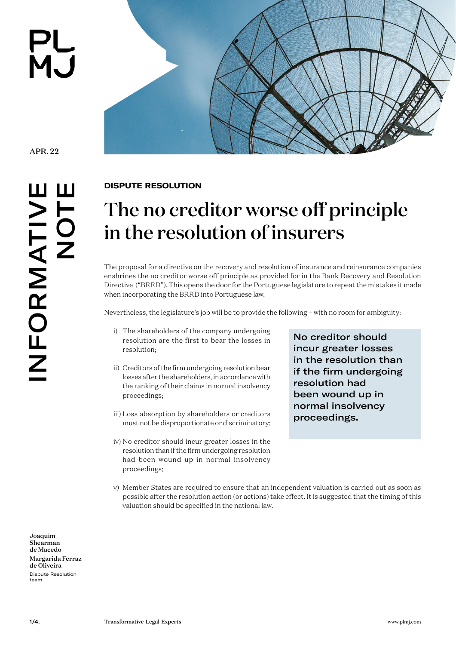

APR. 22

INFORMATIVE NFORMATIV<br>NOT



## **[DISPUTE RESOLUTION](https://www.plmj.com/en/services/practice-areas/Dispute-Resolution/2890/)**

## The no creditor worse off principle in the resolution of insurers

The proposal for a directive on the recovery and resolution of insurance and reinsurance companies enshrines the no creditor worse off principle as provided for in the Bank Recovery and Resolution Directive ("BRRD"). This opens the door for the Portuguese legislature to repeat the mistakes it made when incorporating the BRRD into Portuguese law.

Nevertheless, the legislature's job will be to provide the following – with no room for ambiguity:

- i) The shareholders of the company undergoing resolution are the first to bear the losses in resolution;
- ii) Creditors of the firm undergoing resolution bear losses after the shareholders, in accordance with the ranking of their claims in normal insolvency proceedings;
- iii) Loss absorption by shareholders or creditors must not be disproportionate or discriminatory;
- iv) No creditor should incur greater losses in the resolution than if the firm undergoing resolution had been wound up in normal insolvency proceedings;

No creditor should incur greater losses in the resolution than if the firm undergoing resolution had been wound up in normal insolvency proceedings.

v) Member States are required to ensure that an independent valuation is carried out as soon as possible after the resolution action (or actions) take effect. It is suggested that the timing of this valuation should be specified in the national law.

[Joaquim](https://www.plmj.com/en/people/partners/joaquim-shearman-de-macedo/30850/)  [Shearman](https://www.plmj.com/en/people/partners/joaquim-shearman-de-macedo/30850/)  [de Macedo](https://www.plmj.com/en/people/partners/joaquim-shearman-de-macedo/30850/) [Margarida Ferraz](https://www.plmj.com/en/people/associates/margarida-ferraz-de-oliveira/31020/)  [de Oliveira](https://www.plmj.com/en/people/associates/margarida-ferraz-de-oliveira/31020/) [Dispute Resolution](https://www.plmj.com/en/services/practice-areas/Dispute-Resolution/2890/)  team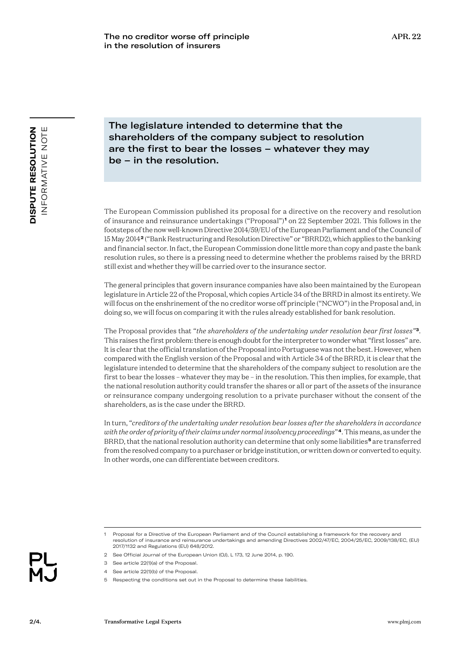The legislature intended to determine that the shareholders of the company subject to resolution are the first to bear the losses – whatever they may be – in the resolution.

The European Commission published its proposal for a directive on the recovery and resolution of insurance and reinsurance undertakings ("Proposal")**<sup>1</sup>** on 22 September 2021. This follows in the footsteps of the now well-known Directive 2014/59/EU of the European Parliament and of the Council of 15 May 2014**<sup>2</sup>** ("Bank Restructuring and Resolution Directive" or "BRRD2), which applies to the banking and financial sector. In fact, the European Commission done little more than copy and paste the bank resolution rules, so there is a pressing need to determine whether the problems raised by the BRRD still exist and whether they will be carried over to the insurance sector.

The general principles that govern insurance companies have also been maintained by the European legislature in Article 22 of the Proposal, which copies Article 34 of the BRRD in almost its entirety. We will focus on the enshrinement of the no creditor worse off principle ("NCWO") in the Proposal and, in doing so, we will focus on comparing it with the rules already established for bank resolution.

The Proposal provides that "*the shareholders of the undertaking under resolution bear first losses"***<sup>3</sup>***.*  This raises the first problem: there is enough doubt for the interpreter to wonder what "first losses" are. It is clear that the official translation of the Proposal into Portuguese was not the best. However, when compared with the English version of the Proposal and with Article 34 of the BRRD, it is clear that the legislature intended to determine that the shareholders of the company subject to resolution are the first to bear the losses – whatever they may be – in the resolution. This then implies, for example, that the national resolution authority could transfer the shares or all or part of the assets of the insurance or reinsurance company undergoing resolution to a private purchaser without the consent of the shareholders, as is the case under the BRRD.

In turn, "*creditors of the undertaking under resolution bear losses after the shareholders in accordance with the order of priority of their claims under normal insolvency proceedings*"**<sup>4</sup>**. This means, as under the BRRD, that the national resolution authority can determine that only some liabilities**<sup>5</sup>** are transferred from the resolved company to a purchaser or bridge institution, or written down or converted to equity. In other words, one can differentiate between creditors.

2/4.

<sup>1</sup> Proposal for a Directive of the European Parliament and of the Council establishing a framework for the recovery and resolution of insurance and reinsurance undertakings and amending Directives 2002/47/EC, 2004/25/EC, 2009/138/EC, (EU) 2017/1132 and Regulations (EU) 648/2012.

<sup>2</sup> See Official Journal of the European Union (OJ), L 173, 12 June 2014, p. 190.

<sup>3</sup> See article 22(1)(a) of the Proposal.

<sup>4</sup> See article 22(1)(b) of the Proposal.

<sup>5</sup> Respecting the conditions set out in the Proposal to determine these liabilities.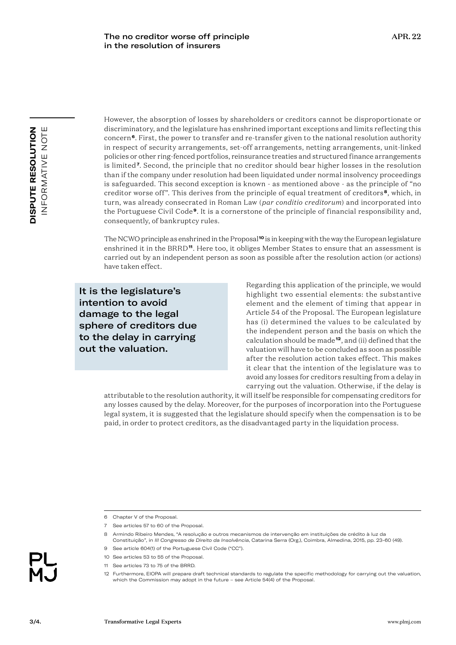However, the absorption of losses by shareholders or creditors cannot be disproportionate or discriminatory, and the legislature has enshrined important exceptions and limits reflecting this concern**<sup>6</sup>**. First, the power to transfer and re-transfer given to the national resolution authority in respect of security arrangements, set-off arrangements, netting arrangements, unit-linked policies or other ring-fenced portfolios, reinsurance treaties and structured finance arrangements is limited**<sup>7</sup>**. Second, the principle that no creditor should bear higher losses in the resolution than if the company under resolution had been liquidated under normal insolvency proceedings is safeguarded. This second exception is known - as mentioned above - as the principle of "no creditor worse off". This derives from the principle of equal treatment of creditors**<sup>8</sup>**, which, in turn, was already consecrated in Roman Law (*par conditio creditorum*) and incorporated into the Portuguese Civil Code**<sup>9</sup>**. It is a cornerstone of the principle of financial responsibility and, consequently, of bankruptcy rules.

The NCWO principle as enshrined in the Proposal**<sup>10</sup>** is in keeping with the way the European legislature enshrined it in the BRRD**<sup>11</sup>**. Here too, it obliges Member States to ensure that an assessment is carried out by an independent person as soon as possible after the resolution action (or actions) have taken effect.

It is the legislature's intention to avoid damage to the legal sphere of creditors due to the delay in carrying out the valuation.

Regarding this application of the principle, we would highlight two essential elements: the substantive element and the element of timing that appear in Article 54 of the Proposal. The European legislature has (i) determined the values to be calculated by the independent person and the basis on which the calculation should be made**<sup>12</sup>**, and (ii) defined that the valuation will have to be concluded as soon as possible after the resolution action takes effect. This makes it clear that the intention of the legislature was to avoid any losses for creditors resulting from a delay in carrying out the valuation. Otherwise, if the delay is

attributable to the resolution authority, it will itself be responsible for compensating creditors for any losses caused by the delay. Moreover, for the purposes of incorporation into the Portuguese legal system, it is suggested that the legislature should specify when the compensation is to be paid, in order to protect creditors, as the disadvantaged party in the liquidation process.

3/4.

<sup>6</sup> Chapter V of the Proposal.

<sup>7</sup> See articles 57 to 60 of the Proposal.

<sup>8</sup> Armindo Ribeiro Mendes, "A resolução e outros mecanismos de intervenção em instituições de crédito à luz da Constituição*"*, in *III Congresso de Direito da Insolvência*, Catarina Serra (Org.), Coimbra, Almedina, 2015, pp. 23-60 (49).

<sup>9</sup> See article 604(1) of the Portuguese Civil Code ("CC").

<sup>10</sup> See articles 53 to 55 of the Proposal.

<sup>11</sup> See articles 73 to 75 of the BRRD.

<sup>12</sup> Furthermore, EIOPA will prepare draft technical standards to regulate the specific methodology for carrying out the valuation, which the Commission may adopt in the future – see Article 54(4) of the Proposal.